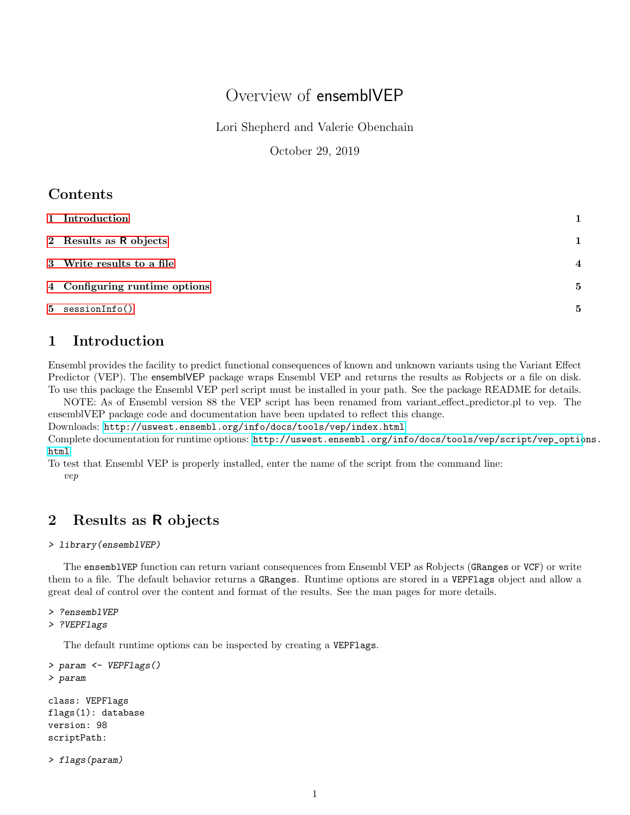# Overview of ensemblVEP

Lori Shepherd and Valerie Obenchain

October 29, 2019

### **Contents**

| 1 Introduction                | 1              |
|-------------------------------|----------------|
| 2 Results as R objects        | $\mathbf 1$    |
| 3 Write results to a file     | $\overline{4}$ |
| 4 Configuring runtime options | 5              |
| $5$ session $Info()$          | 5              |

# <span id="page-0-0"></span>1 Introduction

Ensembl provides the facility to predict functional consequences of known and unknown variants using the Variant Effect Predictor (VEP). The ensemblVEP package wraps Ensembl VEP and returns the results as Robjects or a file on disk. To use this package the Ensembl VEP perl script must be installed in your path. See the package README for details.

NOTE: As of Ensembl version 88 the VEP script has been renamed from variant effect predictor.pl to vep. The ensemblVEP package code and documentation have been updated to reflect this change.

Downloads: <http://uswest.ensembl.org/info/docs/tools/vep/index.html>

Complete documentation for runtime options: [http://uswest.ensembl.org/info/docs/tools/vep/script/vep\\_optio](http://uswest.ensembl.org/info/docs/tools/vep/script/vep_options.html)ns. [html](http://uswest.ensembl.org/info/docs/tools/vep/script/vep_options.html)

To test that Ensembl VEP is properly installed, enter the name of the script from the command line: vep

# <span id="page-0-1"></span>2 Results as R objects

### > library(ensemblVEP)

The ensemblVEP function can return variant consequences from Ensembl VEP as Robjects (GRanges or VCF) or write them to a file. The default behavior returns a GRanges. Runtime options are stored in a VEPFlags object and allow a great deal of control over the content and format of the results. See the man pages for more details.

### > ?ensemblVEP

> ?VEPFlags

The default runtime options can be inspected by creating a VEPFlags.

```
> param <- VEPFlags()
> param
```

```
class: VEPFlags
flags(1): database
version: 98
scriptPath:
```

```
> flags(param)
```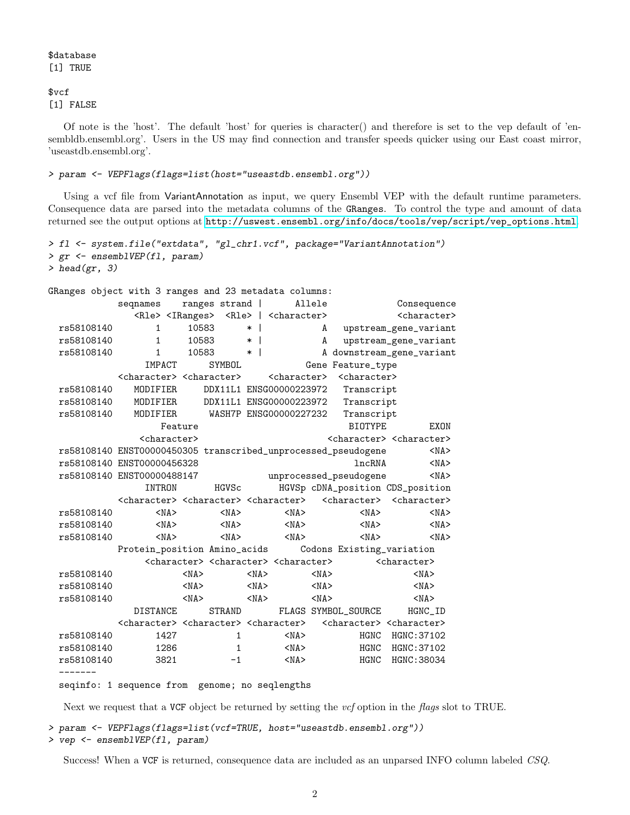\$database [1] TRUE

#### \$vcf [1] FALSE

Of note is the 'host'. The default 'host' for queries is character() and therefore is set to the vep default of 'ensembldb.ensembl.org'. Users in the US may find connection and transfer speeds quicker using our East coast mirror, 'useastdb.ensembl.org'.

#### > param <- VEPFlags(flags=list(host="useastdb.ensembl.org"))

Using a vcf file from VariantAnnotation as input, we query Ensembl VEP with the default runtime parameters. Consequence data are parsed into the metadata columns of the GRanges. To control the type and amount of data returned see the output options at [http://uswest.ensembl.org/info/docs/tools/vep/script/vep\\_options.html](http://uswest.ensembl.org/info/docs/tools/vep/script/vep_options.html).

```
> fl <- system.file("extdata", "gl_chr1.vcf", package="VariantAnnotation")
> gr <- ensemblVEP(fl, param)
> head(gr, 3)
```

```
GRanges object with 3 ranges and 23 metadata columns:
         seqnames ranges strand | Allele Consequence
            <Rle> <IRanges> <Rle> | <character> <character>
 rs58108140 1 10583 * | A upstream_gene_variant
 rs58108140 1 10583 * | A upstream_gene_variant
 rs58108140 1 10583 * | A downstream_gene_variant
             IMPACT SYMBOL Gene Feature_type
         <character> <character> <character> <character>
 rs58108140 MODIFIER DDX11L1 ENSG00000223972 Transcript
 rs58108140 MODIFIER DDX11L1 ENSG00000223972 Transcript
 rs58108140 MODIFIER WASH7P ENSG00000227232 Transcript
               Feature BIOTYPE EXON
            <character>
<character>
<character>
<character>
<character>
<character>
<character>
<character>
<character>
<character>
<character>
<character>
<character>
<character>
<character
 rs58108140 ENST00000450305 transcribed_unprocessed_pseudogene <NA>
 rs58108140 ENST00000456328 lncRNA <NA>
 rs58108140 ENST00000488147 unprocessed_pseudogene <NA>
             INTRON HGVSc HGVSp cDNA_position CDS_position
         <character> <character> <character> <character> <character>
 rs58108140 <NA> <NA> <NA> <NA> <NA>
 rs58108140 <NA> <NA> <NA> <NA> <NA>
 rs58108140 <NA> <NA> <NA> <NA> <NA>
         Protein_position Amino_acids Codons Existing_variation
             <character> <character> <character> <character>
 rs58108140 <NA> <NA> <NA> <NA>
 rs58108140 <NA> <NA> <NA> <NA>
 rs58108140 <NA> <NA> <NA> <NA>
           DISTANCE STRAND FLAGS SYMBOL_SOURCE HGNC_ID
         <character> <character> <character> <character> <character>
 rs58108140 1427 1 <NA> HGNC HGNC:37102
 rs58108140 1286 1 <NA> HGNC HGNC:37102
 rs58108140 3821 -1 <NA> HGNC HGNC:38034
 -------
```
seqinfo: 1 sequence from genome; no seqlengths

Next we request that a VCF object be returned by setting the *vcf* option in the *flags* slot to TRUE.

```
> param <- VEPFlags(flags=list(vcf=TRUE, host="useastdb.ensembl.org"))
```

```
> vep <- ensemblVEP(fl, param)
```
Success! When a VCF is returned, consequence data are included as an unparsed INFO column labeled CSQ.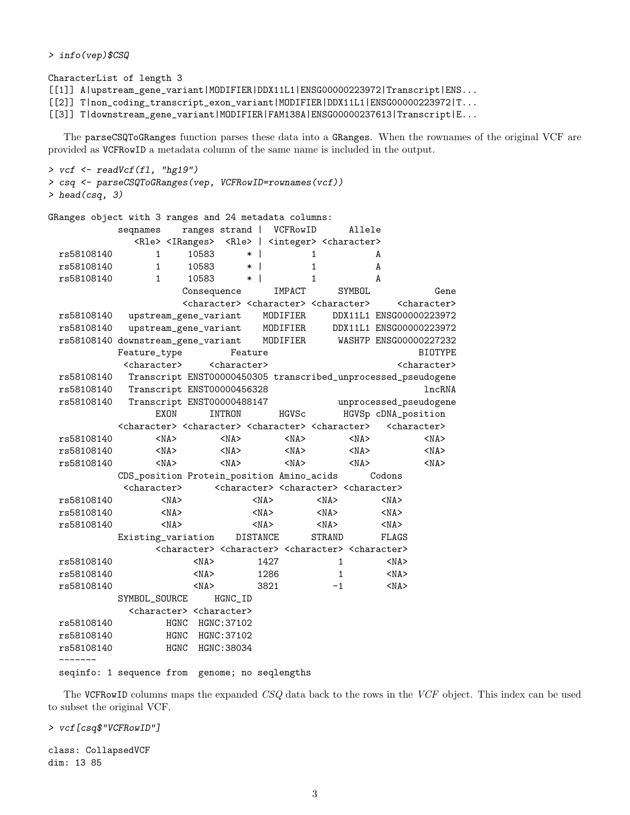> info(vep)\$CSQ

CharacterList of length 3 [[1]] A|upstream\_gene\_variant|MODIFIER|DDX11L1|ENSG00000223972|Transcript|ENS... [[2]] T|non\_coding\_transcript\_exon\_variant|MODIFIER|DDX11L1|ENSG00000223972|T... [[3]] T|downstream\_gene\_variant|MODIFIER|FAM138A|ENSG00000237613|Transcript|E...

The parseCSQToGRanges function parses these data into a GRanges. When the rownames of the original VCF are provided as VCFRowID a metadata column of the same name is included in the output.

```
> vcf <- readVcf(fl, "hg19")
> csq <- parseCSQToGRanges(vep, VCFRowID=rownames(vcf))
> head(csq, 3)
```

|            | GRanges object with 3 ranges and 24 metadata columns:                                                                   |                          |                         |                          |            |                                                                         |            |                                                                                                 |                         |
|------------|-------------------------------------------------------------------------------------------------------------------------|--------------------------|-------------------------|--------------------------|------------|-------------------------------------------------------------------------|------------|-------------------------------------------------------------------------------------------------|-------------------------|
|            | segnames                                                                                                                | ranges strand   VCFRowID |                         |                          |            |                                                                         | Allele     |                                                                                                 |                         |
|            | <rle> <iranges> <rle>   <integer> <character></character></integer></rle></iranges></rle>                               |                          |                         |                          |            |                                                                         |            |                                                                                                 |                         |
| rs58108140 | $\mathbf{1}$                                                                                                            | 10583                    | $\ast$                  | $\overline{\phantom{a}}$ |            | 1                                                                       |            | A                                                                                               |                         |
| rs58108140 | $\mathbf{1}$                                                                                                            | 10583                    | $\ast$                  | $\perp$                  |            | $\mathbf{1}$                                                            |            | A                                                                                               |                         |
| rs58108140 | $\mathbf{1}$                                                                                                            | 10583                    | $*1$                    |                          |            | $\mathbf{1}$                                                            |            | A                                                                                               |                         |
|            |                                                                                                                         | Consequence              |                         |                          | IMPACT     |                                                                         | SYMBOL     |                                                                                                 | Gene                    |
|            |                                                                                                                         |                          |                         |                          |            | <character> <character> <character></character></character></character> |            |                                                                                                 | <character></character> |
| rs58108140 | upstream_gene_variant                                                                                                   |                          |                         |                          | MODIFIER   |                                                                         |            |                                                                                                 | DDX11L1 ENSG00000223972 |
| rs58108140 | upstream_gene_variant MODIFIER                                                                                          |                          |                         |                          |            |                                                                         |            |                                                                                                 | DDX11L1 ENSG00000223972 |
|            | rs58108140 downstream_gene_variant MODIFIER                                                                             |                          |                         |                          |            |                                                                         |            |                                                                                                 | WASH7P ENSG00000227232  |
|            | Feature_type                                                                                                            |                          | Feature                 |                          |            |                                                                         |            |                                                                                                 | <b>BIOTYPE</b>          |
|            | <character></character>                                                                                                 |                          | <character></character> |                          |            |                                                                         |            |                                                                                                 | <character></character> |
| rs58108140 | Transcript ENST00000450305 transcribed_unprocessed_pseudogene                                                           |                          |                         |                          |            |                                                                         |            |                                                                                                 |                         |
| rs58108140 | Transcript ENST00000456328                                                                                              |                          |                         |                          |            |                                                                         |            |                                                                                                 | lncRNA                  |
| rs58108140 | Transcript ENST00000488147                                                                                              |                          |                         |                          |            |                                                                         |            |                                                                                                 | unprocessed_pseudogene  |
|            | <b>EXON</b>                                                                                                             |                          | <b>INTRON</b>           |                          | HGVSc      |                                                                         |            |                                                                                                 | HGVSp cDNA_position     |
|            | <character> <character> <character> <character> <character></character></character></character></character></character> |                          |                         |                          |            |                                                                         |            |                                                                                                 |                         |
| rs58108140 | $<$ NA $>$                                                                                                              |                          | $<$ NA $>$              |                          | $<$ NA $>$ |                                                                         | $<$ NA $>$ |                                                                                                 | $<$ NA $>$              |
| rs58108140 | $<$ NA $>$                                                                                                              |                          | $<$ NA $>$              |                          | $<$ NA $>$ |                                                                         | $<$ NA $>$ |                                                                                                 | $<$ NA $>$              |
| rs58108140 | $<$ NA $>$                                                                                                              |                          | $<$ NA $>$              |                          | $<$ NA $>$ |                                                                         | $<$ NA $>$ |                                                                                                 | $<$ NA $>$              |
|            | CDS_position Protein_position Amino_acids                                                                               |                          |                         |                          |            |                                                                         |            | Codons                                                                                          |                         |
|            | <character></character>                                                                                                 |                          |                         |                          |            | <character> <character> <character></character></character></character> |            |                                                                                                 |                         |
| rs58108140 | $<$ NA $>$                                                                                                              |                          |                         | $<$ NA $>$               |            | $<$ NA $>$                                                              |            | $<$ NA $>$                                                                                      |                         |
| rs58108140 | $<$ NA $>$                                                                                                              |                          |                         | $<$ NA $>$               |            | $<$ NA $>$                                                              |            | $<$ NA $>$                                                                                      |                         |
| rs58108140 | $<$ NA $>$                                                                                                              |                          |                         | $<$ NA $>$               |            | $<$ NA $>$                                                              |            | $<$ NA $>$                                                                                      |                         |
|            | Existing_variation                                                                                                      |                          | DISTANCE                |                          |            | <b>STRAND</b>                                                           |            | FLAGS                                                                                           |                         |
|            |                                                                                                                         |                          |                         |                          |            |                                                                         |            | <character> <character> <character> <character></character></character></character></character> |                         |
| rs58108140 |                                                                                                                         | $<$ NA $>$               |                         | 1427                     |            | $\mathbf{1}$                                                            |            | $<$ NA $>$                                                                                      |                         |
| rs58108140 |                                                                                                                         | $<$ NA $>$               |                         | 1286                     |            | $\mathbf{1}$                                                            |            | $<$ NA $>$                                                                                      |                         |
| rs58108140 |                                                                                                                         | $<$ NA $>$               |                         | 3821                     |            | $-1$                                                                    |            | $<$ NA $>$                                                                                      |                         |
|            | SYMBOL_SOURCE                                                                                                           |                          | HGNC_ID                 |                          |            |                                                                         |            |                                                                                                 |                         |
|            | <character> <character></character></character>                                                                         |                          |                         |                          |            |                                                                         |            |                                                                                                 |                         |
| rs58108140 |                                                                                                                         | HGNC HGNC: 37102         |                         |                          |            |                                                                         |            |                                                                                                 |                         |
| rs58108140 |                                                                                                                         | HGNC HGNC: 37102         |                         |                          |            |                                                                         |            |                                                                                                 |                         |
| rs58108140 | HGNC                                                                                                                    |                          | HGNC: 38034             |                          |            |                                                                         |            |                                                                                                 |                         |
|            | seqinfo: 1 sequence from genome; no seqlengths                                                                          |                          |                         |                          |            |                                                                         |            |                                                                                                 |                         |

The VCFRowID columns maps the expanded CSQ data back to the rows in the VCF object. This index can be used to subset the original VCF.

> vcf[csq\$"VCFRowID"]

class: CollapsedVCF dim: 13 85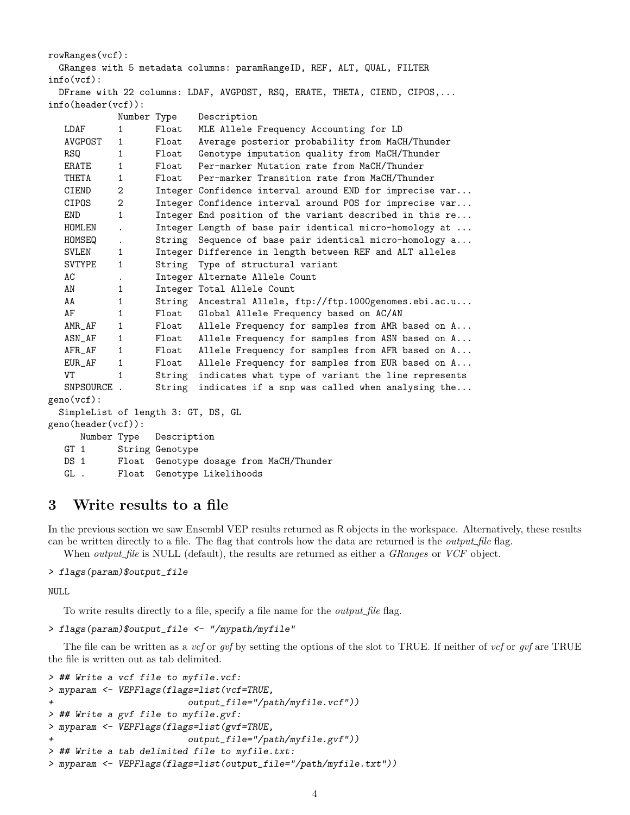```
rowRanges(vcf):
 GRanges with 5 metadata columns: paramRangeID, REF, ALT, QUAL, FILTER
info(vcf):
 DFrame with 22 columns: LDAF, AVGPOST, RSQ, ERATE, THETA, CIEND, CIPOS,...
info(header(vcf)):
           Number Type Description
  LDAF 1 Float MLE Allele Frequency Accounting for LD
  AVGPOST 1 Float Average posterior probability from MaCH/Thunder
  RSQ 1 Float Genotype imputation quality from MaCH/Thunder
  ERATE 1 Float Per-marker Mutation rate from MaCH/Thunder
  THETA 1 Float Per-marker Transition rate from MaCH/Thunder
  CIEND 2 Integer Confidence interval around END for imprecise var...
  CIPOS 2 Integer Confidence interval around POS for imprecise var...
  END 1 Integer End position of the variant described in this re...
  HOMLEN . Integer Length of base pair identical micro-homology at ...
  HOMSEQ . String Sequence of base pair identical micro-homology a...
  SVLEN 1 Integer Difference in length between REF and ALT alleles
  SVTYPE 1 String Type of structural variant
  AC . Integer Alternate Allele Count
  AN 1 Integer Total Allele Count
  AA 1 String Ancestral Allele, ftp://ftp.1000genomes.ebi.ac.u...
  AF 1 Float Global Allele Frequency based on AC/AN
  AMR_AF 1 Float Allele Frequency for samples from AMR based on A...
  ASN_AF 1 Float Allele Frequency for samples from ASN based on A...
  AFR_AF 1 Float Allele Frequency for samples from AFR based on A...
  EUR_AF 1 Float Allele Frequency for samples from EUR based on A...
  VT 1 String indicates what type of variant the line represents
  SNPSOURCE . String indicates if a snp was called when analysing the...
geno(vcf):
 SimpleList of length 3: GT, DS, GL
geno(header(vcf)):
     Number Type Description
  GT 1 String Genotype
  DS 1 Float Genotype dosage from MaCH/Thunder
  GL . Float Genotype Likelihoods
```
### <span id="page-3-0"></span>3 Write results to a file

In the previous section we saw Ensembl VEP results returned as R objects in the workspace. Alternatively, these results can be written directly to a file. The flag that controls how the data are returned is the *output file* flag.

When *output\_file* is NULL (default), the results are returned as either a *GRanges* or *VCF* object.

### > flags(param)\$output\_file

NULL

To write results directly to a file, specify a file name for the *output* file flag.

#### > flags(param)\$output\_file <- "/mypath/myfile"

The file can be written as a vcf or gvf by setting the options of the slot to TRUE. If neither of vcf or gvf are TRUE the file is written out as tab delimited.

```
> ## Write a vcf file to myfile.vcf:
> myparam <- VEPFlags(flags=list(vcf=TRUE,
+ output_file="/path/myfile.vcf"))
> ## Write a gvf file to myfile.gvf:
> myparam <- VEPFlags(flags=list(gvf=TRUE,
+ output_file="/path/myfile.gvf"))
> ## Write a tab delimited file to myfile.txt:
> myparam <- VEPFlags(flags=list(output_file="/path/myfile.txt"))
```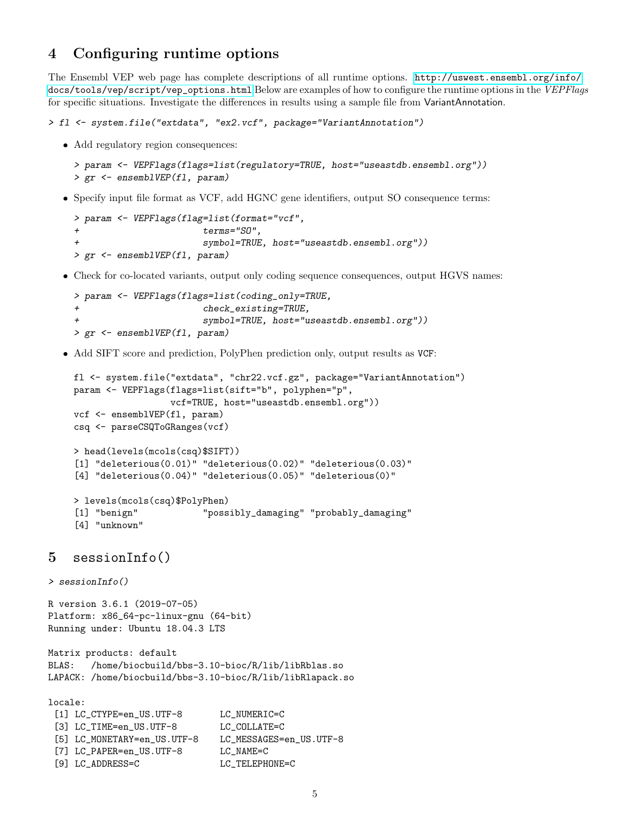# <span id="page-4-0"></span>4 Configuring runtime options

The Ensembl VEP web page has complete descriptions of all runtime options. [http://uswest.ensembl.org/info/](http://uswest.ensembl.org/info/docs/tools/vep/script/vep_options.html) [docs/tools/vep/script/vep\\_options.html](http://uswest.ensembl.org/info/docs/tools/vep/script/vep_options.html) Below are examples of how to configure the runtime options in the VEPFlags for specific situations. Investigate the differences in results using a sample file from VariantAnnotation.

```
> fl <- system.file("extdata", "ex2.vcf", package="VariantAnnotation")
```
Add regulatory region consequences:

```
> param <- VEPFlags(flags=list(regulatory=TRUE, host="useastdb.ensembl.org"))
> gr <- ensemblVEP(fl, param)
```
Specify input file format as VCF, add HGNC gene identifiers, output SO consequence terms:

```
> param <- VEPFlags(flag=list(format="vcf",
+ terms="SO",
+ symbol=TRUE, host="useastdb.ensembl.org"))
> gr <- ensemblVEP(fl, param)
```
Check for co-located variants, output only coding sequence consequences, output HGVS names:

```
> param <- VEPFlags(flags=list(coding_only=TRUE,
+ check_existing=TRUE,
                     symbol=TRUE, host="useastdb.ensembl.org"))
> gr <- ensemblVEP(fl, param)
```
Add SIFT score and prediction, PolyPhen prediction only, output results as VCF:

```
fl <- system.file("extdata", "chr22.vcf.gz", package="VariantAnnotation")
param <- VEPFlags(flags=list(sift="b", polyphen="p",
                 vcf=TRUE, host="useastdb.ensembl.org"))
vcf <- ensemblVEP(fl, param)
csq <- parseCSQToGRanges(vcf)
> head(levels(mcols(csq)$SIFT))
[1] "deleterious(0.01)" "deleterious(0.02)" "deleterious(0.03)"
[4] "deleterious(0.04)" "deleterious(0.05)" "deleterious(0)"
> levels(mcols(csq)$PolyPhen)
[1] "benign" "possibly_damaging" "probably_damaging"
[4] "unknown"
```
### <span id="page-4-1"></span>5 sessionInfo()

```
> sessionInfo()
```
R version 3.6.1 (2019-07-05) Platform: x86\_64-pc-linux-gnu (64-bit) Running under: Ubuntu 18.04.3 LTS

```
Matrix products: default
BLAS: /home/biocbuild/bbs-3.10-bioc/R/lib/libRblas.so
LAPACK: /home/biocbuild/bbs-3.10-bioc/R/lib/libRlapack.so
```
locale:

|                             | LC NUMERIC=C             |
|-----------------------------|--------------------------|
| [3] LC_TIME=en_US.UTF-8     | LC COLLATE=C             |
| [5] LC_MONETARY=en_US.UTF-8 | LC MESSAGES=en US.UTF-8  |
| [7] LC_PAPER=en_US.UTF-8    | LC NAME=C                |
| [9] LC ADDRESS=C            | LC TELEPHONE=C           |
|                             | [1] LC_CTYPE=en_US.UTF-8 |